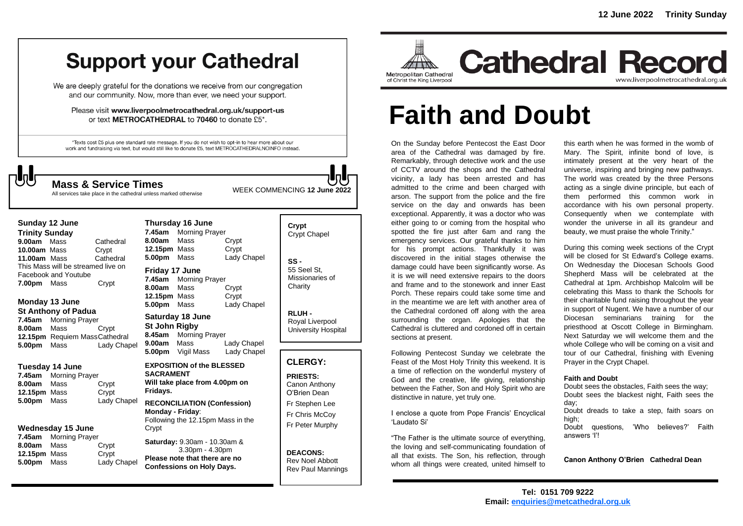## **Support your Cathedral**

We are deeply grateful for the donations we receive from our congregation and our community. Now, more than ever, we need your support.

Please visit www.liverpoolmetrocathedral.org.uk/support-us or text METROCATHEDRAL to 70460 to donate £5\*.

\*Texts cost £5 plus one standard rate message. If you do not wish to opt-in to hear more about our work and fundraising via text, but would still like to donate £5, text METROCATHEDRALNOINFO instead.

All services take place in the cathedral unless marked otherwise

WEEK COMMENCING **<sup>12</sup> June <sup>2022</sup> Mass & Service Times**

#### **Sunday 12 June Trinity Sunday 9.00am** MassCathedral **10.00am** MassCrypt **11.00am** Mass Cathedral This Mass will be streamed live on Facebook and Youtube **7.00pm** Mass Crypt

#### **Monday 13 June St Anthony of Padua**

**7.45am** Morning Prayer **8.00am** Mass Crypt **12.15pm** Requiem MassCathedral **5.00pm** Mass Lady Chapel

### **Tuesday 14 June**

**7.45am** Morning Prayer **8.00am** Mass Crypt **12.15pm** Mass Crypt **5.00pm** Mass Lady Chapel

### **Wednesday 15 June**

**7.45am** Morning Prayer **8.00am** Mass Crypt **12.15pm** Mass Crypt **5.00pm** Mass Lady Chapel

| 8.00am Mass<br>12.15pm Mass<br>5.00pm Mass                                                           | Thursday 16 June<br>7.45am Morning Prayer                             | Crypt<br>Crypt<br>Lady Chapel |
|------------------------------------------------------------------------------------------------------|-----------------------------------------------------------------------|-------------------------------|
| Friday 17 June<br>8.00am Mass<br>12.15pm Mass<br>5.00pm Mass                                         | 7.45am Morning Prayer                                                 | Crypt<br>Crypt<br>Lady Chapel |
| St John Rigby<br>9.00am Mass                                                                         | Saturday 18 June<br>8.45am Morning Prayer<br><b>5.00pm</b> Vigil Mass | Lady Chapel<br>Lady Chapel    |
| <b>EXPOSITION of the BLESSED</b><br><b>SACRAMENT</b><br>Will take place from 4.00pm on<br>Fridays.   |                                                                       |                               |
| <b>RECONCILIATION (Confession)</b><br>Monday - Friday:<br>Following the 12.15pm Mass in the<br>Crypt |                                                                       |                               |

**Saturday:** 9.30am - 10.30am & 3.30pm - 4.30pm **Please note that there are no Confessions on Holy Days.**

### **Crypt**  Crypt Chapel **SS -** 55 Seel St, Missionaries of

**RLUH -** Royal Liverpool University Hospital

**Charity** 

### **CLERGY:**

**PRIESTS:** Canon Anthony O'Brien *Dean* Fr Stephen Lee Fr Chris McCoy Fr Peter Murphy

**DEACONS:** Rev Noel Abbott Rev Paul Mannings



# **Faith and Doubt**

On the Sunday before Pentecost the East Door area of the Cathedral was damaged by fire. Remarkably, through detective work and the use of CCTV around the shops and the Cathedral vicinity, a lady has been arrested and has admitted to the crime and been charged with arson. The support from the police and the fire service on the day and onwards has been exceptional. Apparently, it was a doctor who was either going to or coming from the hospital who spotted the fire just after 6am and rang the emergency services. Our grateful thanks to him for his prompt actions. Thankfully it was discovered in the initial stages otherwise the damage could have been significantly worse. As it is we will need extensive repairs to the doors and frame and to the stonework and inner East Porch. These repairs could take some time and in the meantime we are left with another area of the Cathedral cordoned off along with the area surrounding the organ. Apologies that the Cathedral is cluttered and cordoned off in certain sections at present.

Following Pentecost Sunday we celebrate the Feast of the Most Holy Trinity this weekend. It is a time of reflection on the wonderful mystery of God and the creative, life giving, relationship between the Father, Son and Holy Spirit who are distinctive in nature, yet truly one.

I enclose a quote from Pope Francis' Encyclical 'Laudato Si'

"The Father is the ultimate source of everything, the loving and self-communicating foundation of all that exists. The Son, his reflection, through whom all things were created, united himself to

this earth when he was formed in the womb of Mary. The Spirit, infinite bond of love, is intimately present at the very heart of the universe, inspiring and bringing new pathways. The world was created by the three Persons acting as a single divine principle, but each of them performed this common work in accordance with his own personal property. Consequently when we contemplate with wonder the universe in all its grandeur and beauty, we must praise the whole Trinity."

During this coming week sections of the Crypt will be closed for St Edward's College exams. On Wednesday the Diocesan Schools Good Shepherd Mass will be celebrated at the Cathedral at 1pm. Archbishop Malcolm will be celebrating this Mass to thank the Schools for their charitable fund raising throughout the year in support of Nugent. We have a number of our Diocesan seminarians training for the priesthood at Oscott College in Birmingham. Next Saturday we will welcome them and the whole College who will be coming on a visit and tour of our Cathedral, finishing with Evening Prayer in the Crypt Chapel.

### **Faith and Doubt**

Doubt sees the obstacles, Faith sees the way; Doubt sees the blackest night, Faith sees the day; Doubt dreads to take a step, faith soars on high; Doubt questions, 'Who believes?' Faith answers 'I'!

**Canon Anthony O'Brien Cathedral Dean**